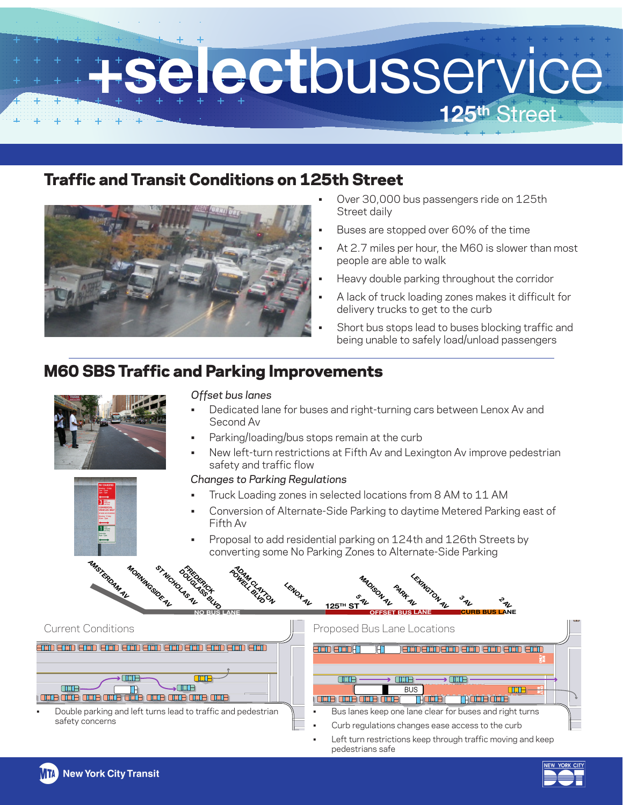

# Traffic and Transit Conditions on 125th Street



- Over 30,000 bus passengers ride on 125th Street daily
- Buses are stopped over 60% of the time
- At 2.7 miles per hour, the M60 is slower than most people are able to walk
- Heavy double parking throughout the corridor
- A lack of truck loading zones makes it difficult for delivery trucks to get to the curb
- Short bus stops lead to buses blocking traffic and being unable to safely load/unload passengers

# M60 SBS Traffic and Parking Improvements